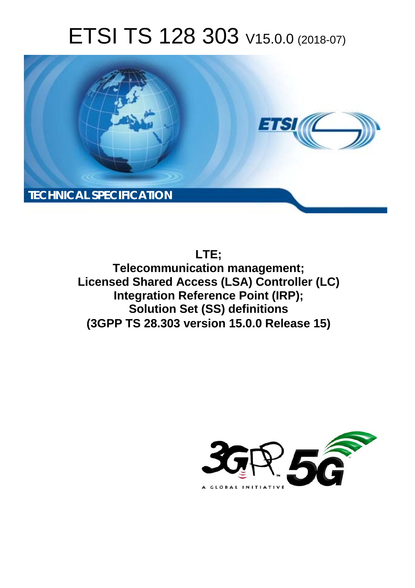# ETSI TS 128 303 V15.0.0 (2018-07)



# **LTE;**

**Telecommunication management; Licensed Shared Access (LSA) Controller (LC) Integration Reference Point (IRP); Solution Set (SS) definitions (3GPP TS 28.303 version 15.0.0 Release 15)** 

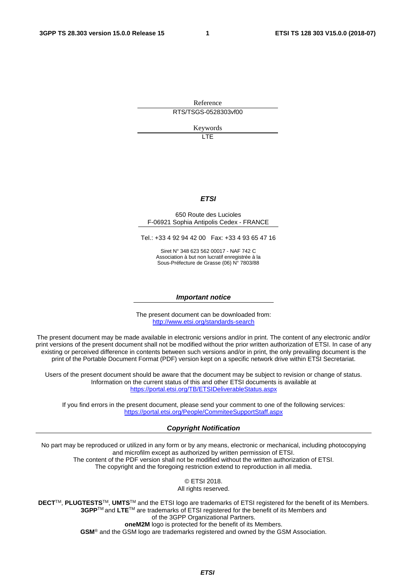Reference RTS/TSGS-0528303vf00

Keywords

LTE

#### *ETSI*

#### 650 Route des Lucioles F-06921 Sophia Antipolis Cedex - FRANCE

Tel.: +33 4 92 94 42 00 Fax: +33 4 93 65 47 16

Siret N° 348 623 562 00017 - NAF 742 C Association à but non lucratif enregistrée à la Sous-Préfecture de Grasse (06) N° 7803/88

#### *Important notice*

The present document can be downloaded from: <http://www.etsi.org/standards-search>

The present document may be made available in electronic versions and/or in print. The content of any electronic and/or print versions of the present document shall not be modified without the prior written authorization of ETSI. In case of any existing or perceived difference in contents between such versions and/or in print, the only prevailing document is the print of the Portable Document Format (PDF) version kept on a specific network drive within ETSI Secretariat.

Users of the present document should be aware that the document may be subject to revision or change of status. Information on the current status of this and other ETSI documents is available at <https://portal.etsi.org/TB/ETSIDeliverableStatus.aspx>

If you find errors in the present document, please send your comment to one of the following services: <https://portal.etsi.org/People/CommiteeSupportStaff.aspx>

#### *Copyright Notification*

No part may be reproduced or utilized in any form or by any means, electronic or mechanical, including photocopying and microfilm except as authorized by written permission of ETSI. The content of the PDF version shall not be modified without the written authorization of ETSI. The copyright and the foregoing restriction extend to reproduction in all media.

> © ETSI 2018. All rights reserved.

**DECT**TM, **PLUGTESTS**TM, **UMTS**TM and the ETSI logo are trademarks of ETSI registered for the benefit of its Members. **3GPP**TM and **LTE**TM are trademarks of ETSI registered for the benefit of its Members and of the 3GPP Organizational Partners. **oneM2M** logo is protected for the benefit of its Members.

**GSM**® and the GSM logo are trademarks registered and owned by the GSM Association.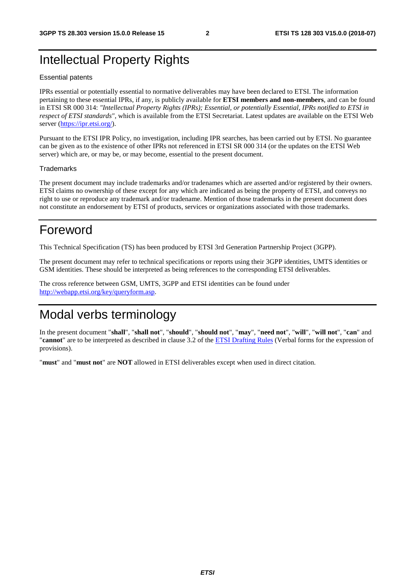# Intellectual Property Rights

#### Essential patents

IPRs essential or potentially essential to normative deliverables may have been declared to ETSI. The information pertaining to these essential IPRs, if any, is publicly available for **ETSI members and non-members**, and can be found in ETSI SR 000 314: *"Intellectual Property Rights (IPRs); Essential, or potentially Essential, IPRs notified to ETSI in respect of ETSI standards"*, which is available from the ETSI Secretariat. Latest updates are available on the ETSI Web server ([https://ipr.etsi.org/\)](https://ipr.etsi.org/).

Pursuant to the ETSI IPR Policy, no investigation, including IPR searches, has been carried out by ETSI. No guarantee can be given as to the existence of other IPRs not referenced in ETSI SR 000 314 (or the updates on the ETSI Web server) which are, or may be, or may become, essential to the present document.

#### **Trademarks**

The present document may include trademarks and/or tradenames which are asserted and/or registered by their owners. ETSI claims no ownership of these except for any which are indicated as being the property of ETSI, and conveys no right to use or reproduce any trademark and/or tradename. Mention of those trademarks in the present document does not constitute an endorsement by ETSI of products, services or organizations associated with those trademarks.

# Foreword

This Technical Specification (TS) has been produced by ETSI 3rd Generation Partnership Project (3GPP).

The present document may refer to technical specifications or reports using their 3GPP identities, UMTS identities or GSM identities. These should be interpreted as being references to the corresponding ETSI deliverables.

The cross reference between GSM, UMTS, 3GPP and ETSI identities can be found under [http://webapp.etsi.org/key/queryform.asp.](http://webapp.etsi.org/key/queryform.asp)

# Modal verbs terminology

In the present document "**shall**", "**shall not**", "**should**", "**should not**", "**may**", "**need not**", "**will**", "**will not**", "**can**" and "**cannot**" are to be interpreted as described in clause 3.2 of the [ETSI Drafting Rules](https://portal.etsi.org/Services/editHelp!/Howtostart/ETSIDraftingRules.aspx) (Verbal forms for the expression of provisions).

"**must**" and "**must not**" are **NOT** allowed in ETSI deliverables except when used in direct citation.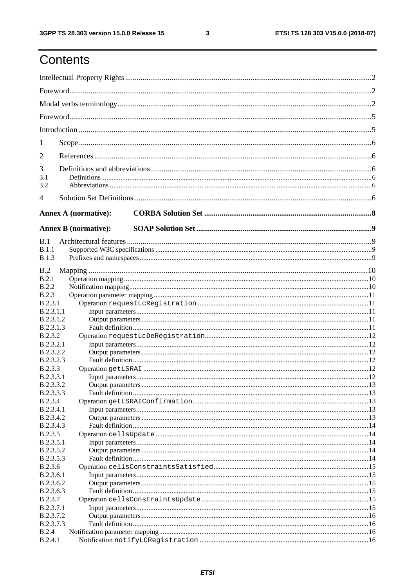# Contents

| 1                                    |                             |  |
|--------------------------------------|-----------------------------|--|
| 2                                    |                             |  |
| 3                                    |                             |  |
| 3.1                                  |                             |  |
| 3.2                                  |                             |  |
| $\overline{4}$                       |                             |  |
|                                      | <b>Annex A (normative):</b> |  |
|                                      |                             |  |
|                                      | <b>Annex B</b> (normative): |  |
| B.1                                  |                             |  |
| B.1.1                                |                             |  |
| <b>B.1.3</b>                         |                             |  |
| B.2                                  |                             |  |
| B.2.1                                |                             |  |
| <b>B.2.2</b>                         |                             |  |
| <b>B.2.3</b>                         |                             |  |
| B.2.3.1                              |                             |  |
| <b>B.2.3.1.1</b><br><b>B.2.3.1.2</b> |                             |  |
| B.2.3.1.3                            |                             |  |
| <b>B.2.3.2</b>                       |                             |  |
| <b>B.2.3.2.1</b>                     |                             |  |
| B.2.3.2.2                            |                             |  |
| <b>B.2.3.2.3</b>                     |                             |  |
| <b>B.2.3.3</b>                       |                             |  |
| B.2.3.3.1                            |                             |  |
| <b>B.2.3.3.2</b>                     |                             |  |
| B.2.3.3.3                            |                             |  |
| <b>B.2.3.4</b><br><b>B.2.3.4.1</b>   |                             |  |
| B.2.3.4.2                            |                             |  |
| B.2.3.4.3                            |                             |  |
| <b>B.2.3.5</b>                       |                             |  |
| B.2.3.5.1                            |                             |  |
| B.2.3.5.2                            |                             |  |
| B.2.3.5.3                            |                             |  |
| <b>B.2.3.6</b>                       |                             |  |
| B.2.3.6.1                            |                             |  |
| B.2.3.6.2                            |                             |  |
| B.2.3.6.3<br><b>B.2.3.7</b>          |                             |  |
| <b>B.2.3.7.1</b>                     |                             |  |
| B.2.3.7.2                            |                             |  |
| B.2.3.7.3                            |                             |  |
| B.2.4                                |                             |  |
| B.2.4.1                              |                             |  |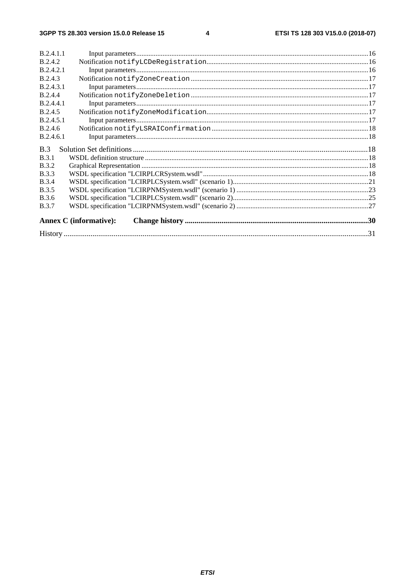| <b>B</b> 2.4 1 1              |            |
|-------------------------------|------------|
| B.2.4.2                       |            |
| B.2.4.2.1                     |            |
| B.2.4.3                       |            |
| <b>B.2.4.3.1</b>              |            |
| B.2.4.4                       |            |
| B.2.4.4.1                     |            |
| B.2.4.5                       |            |
| <b>B</b> 24.51                |            |
| B.2.4.6                       |            |
| B.2.4.6.1                     |            |
| B.3                           |            |
| <b>B.3.1</b>                  |            |
| <b>B.3.2</b>                  |            |
| <b>B.3.3</b>                  |            |
| <b>B.3.4</b>                  |            |
| <b>B.3.5</b>                  |            |
| <b>B.3.6</b>                  |            |
| <b>B.3.7</b>                  |            |
| <b>Annex C</b> (informative): |            |
|                               | $\cdot$ 31 |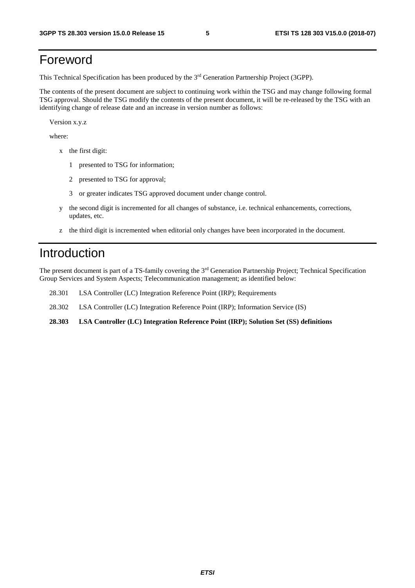# Foreword

This Technical Specification has been produced by the 3rd Generation Partnership Project (3GPP).

The contents of the present document are subject to continuing work within the TSG and may change following formal TSG approval. Should the TSG modify the contents of the present document, it will be re-released by the TSG with an identifying change of release date and an increase in version number as follows:

Version x.y.z

where:

- x the first digit:
	- 1 presented to TSG for information;
	- 2 presented to TSG for approval;
	- 3 or greater indicates TSG approved document under change control.
- y the second digit is incremented for all changes of substance, i.e. technical enhancements, corrections, updates, etc.
- z the third digit is incremented when editorial only changes have been incorporated in the document.

### Introduction

The present document is part of a TS-family covering the 3rd Generation Partnership Project; Technical Specification Group Services and System Aspects; Telecommunication management; as identified below:

- 28.301 LSA Controller (LC) Integration Reference Point (IRP); Requirements
- 28.302 LSA Controller (LC) Integration Reference Point (IRP); Information Service (IS)
- **28.303 LSA Controller (LC) Integration Reference Point (IRP); Solution Set (SS) definitions**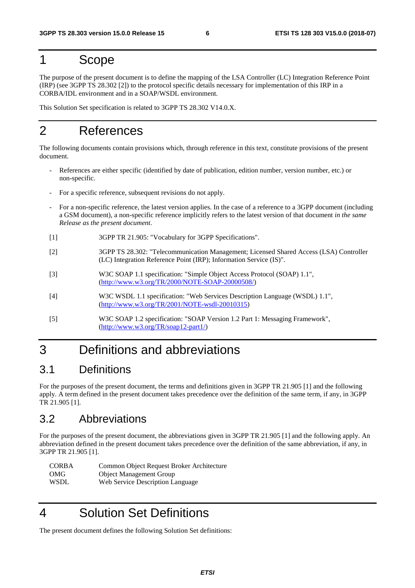### 1 Scope

The purpose of the present document is to define the mapping of the LSA Controller (LC) Integration Reference Point (IRP) (see 3GPP TS 28.302 [2]) to the protocol specific details necessary for implementation of this IRP in a CORBA/IDL environment and in a SOAP/WSDL environment.

This Solution Set specification is related to 3GPP TS 28.302 V14.0.X.

# 2 References

The following documents contain provisions which, through reference in this text, constitute provisions of the present document.

- References are either specific (identified by date of publication, edition number, version number, etc.) or non-specific.
- For a specific reference, subsequent revisions do not apply.
- For a non-specific reference, the latest version applies. In the case of a reference to a 3GPP document (including a GSM document), a non-specific reference implicitly refers to the latest version of that document *in the same Release as the present document*.
- [1] 3GPP TR 21.905: "Vocabulary for 3GPP Specifications".
- [2] 3GPP TS 28.302: "Telecommunication Management; Licensed Shared Access (LSA) Controller (LC) Integration Reference Point (IRP); Information Service (IS)".
- [3] W3C SOAP 1.1 specification: "Simple Object Access Protocol (SOAP) 1.1", [\(http://www.w3.org/TR/2000/NOTE-SOAP-20000508/](http://www.w3.org/TR/2000/NOTE-SOAP-20000508/))
- [4] W3C WSDL 1.1 specification: "Web Services Description Language (WSDL) 1.1", ([http://www.w3.org/TR/2001/NOTE-wsdl-20010315](http://www.w3.org/TR/wsdl))
- [5] W3C SOAP 1.2 specification: "SOAP Version 1.2 Part 1: Messaging Framework", [\(http://www.w3.org/TR/soap12-part1/](http://www.w3.org/TR/soap12-part1/))

# 3 Definitions and abbreviations

### 3.1 Definitions

For the purposes of the present document, the terms and definitions given in 3GPP TR 21.905 [1] and the following apply. A term defined in the present document takes precedence over the definition of the same term, if any, in 3GPP TR 21.905 [1].

### 3.2 Abbreviations

For the purposes of the present document, the abbreviations given in 3GPP TR 21.905 [1] and the following apply. An abbreviation defined in the present document takes precedence over the definition of the same abbreviation, if any, in 3GPP TR 21.905 [1].

| <b>CORBA</b> | Common Object Request Broker Architecture |
|--------------|-------------------------------------------|
| OMG          | <b>Object Management Group</b>            |
| WSDL         | Web Service Description Language          |

4 Solution Set Definitions

The present document defines the following Solution Set definitions: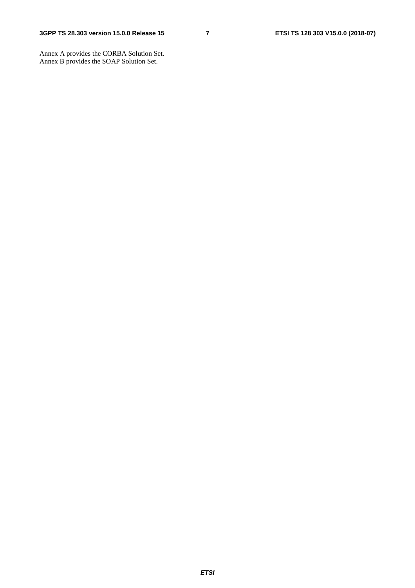Annex A provides the CORBA Solution Set. Annex B provides the SOAP Solution Set.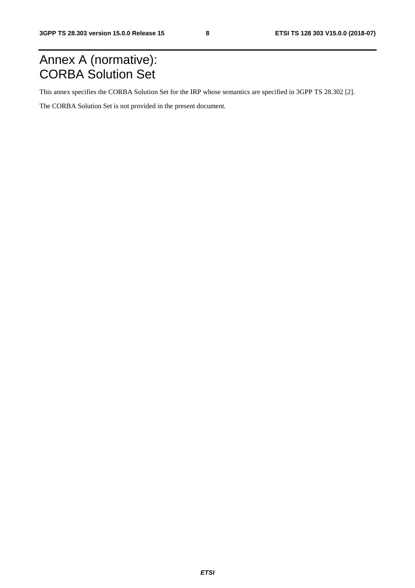# Annex A (normative): CORBA Solution Set

This annex specifies the CORBA Solution Set for the IRP whose semantics are specified in 3GPP TS 28.302 [2].

The CORBA Solution Set is not provided in the present document.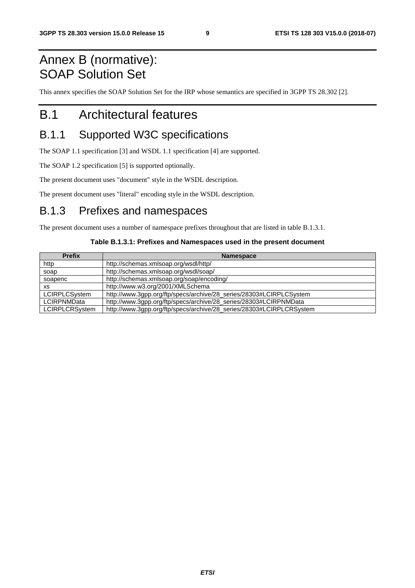# Annex B (normative): SOAP Solution Set

This annex specifies the SOAP Solution Set for the IRP whose semantics are specified in 3GPP TS 28.302 [2].

# B.1 Architectural features

### B.1.1 Supported W3C specifications

The SOAP 1.1 specification [3] and WSDL 1.1 specification [4] are supported.

The SOAP 1.2 specification [5] is supported optionally.

The present document uses "document" style in the WSDL description.

The present document uses "literal" encoding style in the WSDL description.

### B.1.3 Prefixes and namespaces

The present document uses a number of namespace prefixes throughout that are listed in table B.1.3.1.

#### **Table B.1.3.1: Prefixes and Namespaces used in the present document**

| <b>Prefix</b>         | <b>Namespace</b>                                                     |  |  |
|-----------------------|----------------------------------------------------------------------|--|--|
| http                  | http://schemas.xmlsoap.org/wsdl/http/                                |  |  |
| soap                  | http://schemas.xmlsoap.org/wsdl/soap/                                |  |  |
| soapenc               | http://schemas.xmlsoap.org/soap/encoding/                            |  |  |
| <b>XS</b>             | http://www.w3.org/2001/XMLSchema                                     |  |  |
| <b>LCIRPLCS</b> vstem | http://www.3gpp.org/ftp/specs/archive/28_series/28303#LCIRPLCSystem  |  |  |
| <b>LCIRPNMData</b>    | http://www.3gpp.org/ftp/specs/archive/28_series/28303#LCIRPNMData    |  |  |
| <b>LCIRPLCRSystem</b> | http://www.3gpp.org/ftp/specs/archive/28_series/28303#LCIRPLCRSystem |  |  |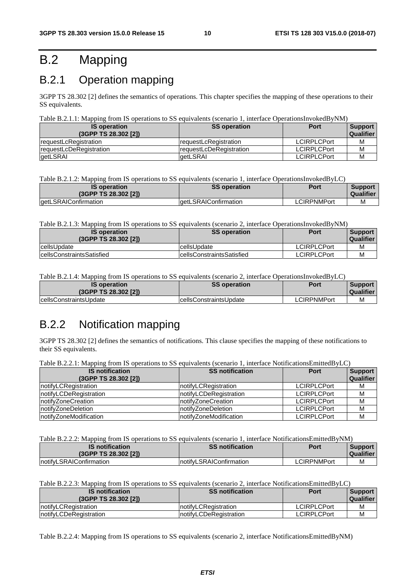# B.2 Mapping

# B.2.1 Operation mapping

3GPP TS 28.302 [2] defines the semantics of operations. This chapter specifies the mapping of these operations to their SS equivalents.

#### Table B.2.1.1: Mapping from IS operations to SS equivalents (scenario 1, interface OperationsInvokedByNM)

| <b>IS operation</b><br>(3GPP TS 28.302 [2]) | <b>SS operation</b>             | <b>Port</b>        | Support<br><b>Qualifier</b> |
|---------------------------------------------|---------------------------------|--------------------|-----------------------------|
| <b>requestLcRegistration</b>                | <b>IrequestLcRegistration</b>   | <b>LCIRPLCPort</b> | M                           |
| <b>requestLcDeRegistration</b>              | <b>IrequestLcDeRegistration</b> | <b>LCIRPLCPort</b> | M                           |
| getLSRAI                                    | laetLSRAI                       | <b>LCIRPLCPort</b> | M                           |

Table B.2.1.2: Mapping from IS operations to SS equivalents (scenario 1, interface OperationsInvokedByLC)

| <b>IS operation</b><br>(3GPP TS 28.302 [2]) | <b>SS operation</b>           | Port        | <b>Support</b><br><b>Qualifier</b> |
|---------------------------------------------|-------------------------------|-------------|------------------------------------|
| getLSRAIConfirmation                        | <b>l</b> aetLSRAIConfirmation | LCIRPNMPort | м                                  |

Table B.2.1.3: Mapping from IS operations to SS equivalents (scenario 2, interface OperationsInvokedByNM)

| <b>IS operation</b><br>(3GPP TS 28.302 [2]) | <b>SS operation</b>       | Port               | <b>Support</b><br><b>Qualifier</b> |
|---------------------------------------------|---------------------------|--------------------|------------------------------------|
| cellsUpdate                                 | cellsUpdate               | <b>LCIRPLCPort</b> | М                                  |
| <b>IcellsConstraintsSatisfied</b>           | cellsConstraintsSatisfied | <b>LCIRPLCPort</b> | М                                  |

Table B.2.1.4: Mapping from IS operations to SS equivalents (scenario 2, interface OperationsInvokedByLC)

| <b>IS operation</b><br>(3GPP TS 28.302 [2]) | <b>SS operation</b>            | Port        | Support<br>Qualifier |
|---------------------------------------------|--------------------------------|-------------|----------------------|
| <b>IcellsConstraintsUpdate</b>              | <b>IcellsConstraintsUpdate</b> | LCIRPNMPort | М                    |

### B.2.2 Notification mapping

3GPP TS 28.302 [2] defines the semantics of notifications. This clause specifies the mapping of these notifications to their SS equivalents.

| Table B.2.2.1: Mapping from IS operations to SS equivalents (scenario 1, interface NotificationsEmittedByLC) |  |  |
|--------------------------------------------------------------------------------------------------------------|--|--|
|                                                                                                              |  |  |

| <b>IS notification</b><br>(3GPP TS 28.302 [2]) | <b>SS notification</b>  | <b>Port</b>        | <b>Support</b><br>Qualifier |
|------------------------------------------------|-------------------------|--------------------|-----------------------------|
| notifyLCRegistration                           | notifyLCRegistration    | <b>LCIRPLCPort</b> | м                           |
| notifyLCDeRegistration                         | InotifyLCDeRegistration | <b>LCIRPLCPort</b> | м                           |
| InotifyZoneCreation                            | InotifyZoneCreation     | <b>LCIRPLCPort</b> | М                           |
| InotifyZoneDeletion                            | InotifvZoneDeletion     | <b>LCIRPLCPort</b> | M                           |
| InotifyZoneModification                        | InotifyZoneModification | <b>LCIRPLCPort</b> | М                           |

Table B.2.2.2: Mapping from IS operations to SS equivalents (scenario 1, interface NotificationsEmittedByNM)

| <b>IS</b> notification<br>(3GPP TS 28.302 [2]) | <b>SS notification</b>   | Port        | <b>Support</b><br><b>Qualifier</b> |
|------------------------------------------------|--------------------------|-------------|------------------------------------|
| notifyLSRAIConfirmation                        | InotifyLSRAIConfirmation | LCIRPNMPort | М                                  |

Table B.2.2.3: Mapping from IS operations to SS equivalents (scenario 2, interface NotificationsEmittedByLC)

| <b>IS notification</b><br>(3GPP TS 28.302 [2]) | <b>SS notification</b>       | Port               | <b>Support</b><br>Qualifier |
|------------------------------------------------|------------------------------|--------------------|-----------------------------|
| InotifyLCRegistration                          | <b>InotifyLCRegistration</b> | <b>LCIRPLCPort</b> | М                           |
| InotifyLCDeRegistration                        | notifyLCDeRegistration       | <b>LCIRPLCPort</b> | м                           |

Table B.2.2.4: Mapping from IS operations to SS equivalents (scenario 2, interface NotificationsEmittedByNM)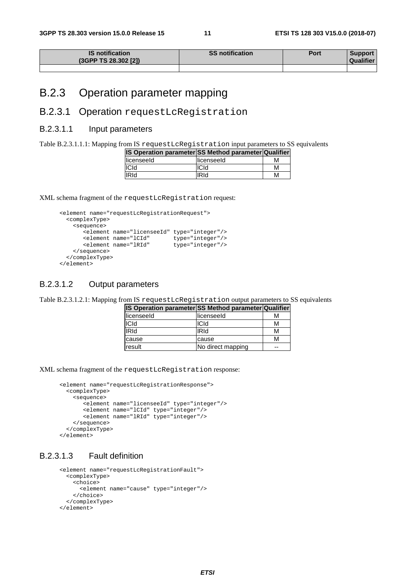| <b>IS notification</b><br>(3GPP TS 28.302 [2]) | <b>SS notification</b> | Port | Support<br>Qualifier |
|------------------------------------------------|------------------------|------|----------------------|
|                                                |                        |      |                      |

### B.2.3 Operation parameter mapping

### B.2.3.1 Operation requestLcRegistration

#### B.2.3.1.1 Input parameters

Table B.2.3.1.1.1: Mapping from IS requestLcRegistration input parameters to SS equivalents

| IS Operation parameter SS Method parameter Qualifier |             |   |
|------------------------------------------------------|-------------|---|
| licenseeld                                           | llicenseeld | м |
| ICId                                                 | ICId        | м |
| <b>IRId</b>                                          | IRId        | м |

XML schema fragment of the requestLcRegistration request:

```
 <element name="requestLcRegistrationRequest"> 
        <complexType> 
         <sequence> 
            <element name="licenseeId" type="integer"/> 
 <element name="lCId" type="integer"/> 
 <element name="lRId" type="integer"/> 
          </sequence> 
        </complexType> 
      </element>
```
#### B.2.3.1.2 Output parameters

Table B.2.3.1.2.1: Mapping from IS requestLcRegistration output parameters to SS equivalents

| IS Operation parameter SS Method parameter Qualifier |                   |    |
|------------------------------------------------------|-------------------|----|
| licenseeld                                           | licenseeld        | м  |
| <b>ICId</b>                                          | <b>ICId</b>       | м  |
| <b>IRId</b>                                          | <b>IRId</b>       | м  |
| cause                                                | cause             | м  |
| result                                               | No direct mapping | -- |

XML schema fragment of the requestLcRegistration response:

```
 <element name="requestLcRegistrationResponse"> 
   <complexType> 
    <sequence> 
        <element name="licenseeId" type="integer"/> 
        <element name="lCId" type="integer"/> 
        <element name="lRId" type="integer"/> 
     </sequence> 
   </complexType> 
 </element>
```
#### B.2.3.1.3 Fault definition

```
 <element name="requestLcRegistrationFault"> 
   <complexType> 
     <choice> 
       <element name="cause" type="integer"/> 
     </choice> 
   </complexType> 
 </element>
```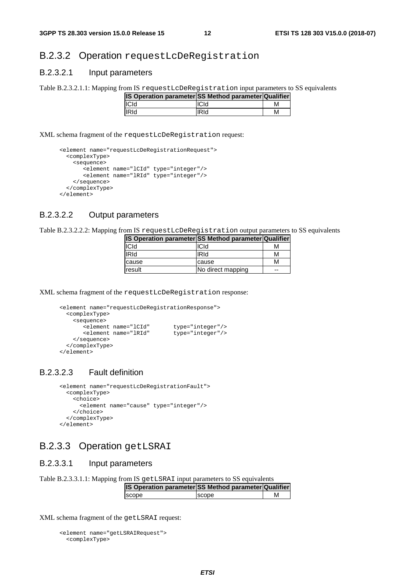#### B.2.3.2 Operation requestLcDeRegistration

#### B.2.3.2.1 Input parameters

Table B.2.3.2.1.1: Mapping from IS requestLcDeRegistration input parameters to SS equivalents

| <b>IS Operation parameter SS Method parameter Qualifier</b> |             |   |
|-------------------------------------------------------------|-------------|---|
| <b>ICId</b>                                                 | <b>ICId</b> | м |
| <b>IRId</b>                                                 | <b>IRId</b> | м |

XML schema fragment of the requestLcDeRegistration request:

```
 <element name="requestLcDeRegistrationRequest"> 
   <complexType> 
    <sequence> 
        <element name="lCId" type="integer"/> 
        <element name="lRId" type="integer"/> 
     </sequence> 
   </complexType> 
 </element>
```
#### B.2.3.2.2 Output parameters

Table B.2.3.2.2.2: Mapping from IS requestLcDeRegistration output parameters to SS equivalents

| IS Operation parameter SS Method parameter Qualifier |                   |    |
|------------------------------------------------------|-------------------|----|
| <b>ICId</b>                                          | ICId              | м  |
| lIRId                                                | <b>IRId</b>       | м  |
| cause                                                | cause             | м  |
| result                                               | No direct mapping | -- |

XML schema fragment of the requestLcDeRegistration response:

```
 <element name="requestLcDeRegistrationResponse"> 
       <complexType> 
         <sequence> 
 <element name="lCId" type="integer"/> 
 <element name="lRId" type="integer"/> 
         </sequence> 
        </complexType> 
      </element>
```
#### B.2.3.2.3 Fault definition

```
 <element name="requestLcDeRegistrationFault"> 
   <complexType> 
     <choice> 
       <element name="cause" type="integer"/> 
     </choice> 
   </complexType> 
 </element>
```
### B.2.3.3 Operation getLSRAI

#### B.2.3.3.1 Input parameters

Table B.2.3.3.1.1: Mapping from IS getLSRAI input parameters to SS equivalents

| <b>IS Operation parameterISS Method parameter Qualifier</b> |               |  |
|-------------------------------------------------------------|---------------|--|
| <b>Iscope</b>                                               | <b>Iscope</b> |  |

XML schema fragment of the getLSRAI request:

```
 <element name="getLSRAIRequest"> 
  <complexType>
```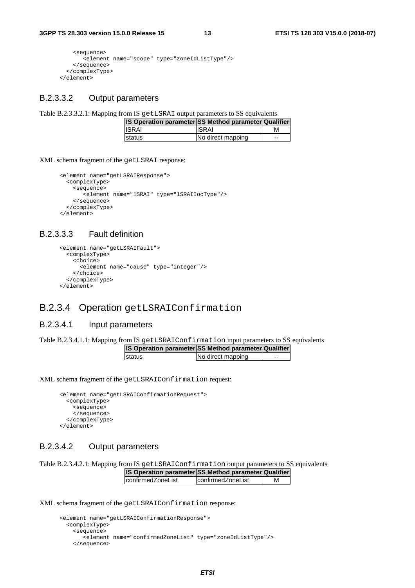```
 <sequence> 
         <element name="scope" type="zoneIdListType"/> 
     </sequence> 
   </complexType> 
 </element>
```
#### B.2.3.3.2 Output parameters

Table B.2.3.3.2.1: Mapping from IS getLSRAI output parameters to SS equivalents

| IS Operation parameter SS Method parameter Qualifier |                   |       |
|------------------------------------------------------|-------------------|-------|
| <b>ISRAI</b>                                         | <b>ISRAI</b>      |       |
| <b>Istatus</b>                                       | No direct mapping | $- -$ |

XML schema fragment of the getLSRAI response:

```
 <element name="getLSRAIResponse"> 
   <complexType> 
    <sequence> 
       <element name="lSRAI" type="lSRAIIocType"/> 
    </sequence> 
   </complexType> 
 </element>
```
#### B.2.3.3.3 Fault definition

```
 <element name="getLSRAIFault"> 
   <complexType> 
     <choice> 
       <element name="cause" type="integer"/> 
     </choice> 
   </complexType> 
 </element>
```
#### B.2.3.4 Operation getLSRAIConfirmation

#### B.2.3.4.1 Input parameters

Table B.2.3.4.1.1: Mapping from IS getLSRAIConfirmation input parameters to SS equivalents

| <b>IS Operation parameter SS Method parameter Qualifier</b> |                   |       |
|-------------------------------------------------------------|-------------------|-------|
| Istatus                                                     | No direct mapping | $- -$ |

XML schema fragment of the getLSRAIConfirmation request:

```
 <element name="getLSRAIConfirmationRequest"> 
   <complexType> 
     <sequence> 
     </sequence> 
   </complexType> 
 </element>
```
#### B.2.3.4.2 Output parameters

Table B.2.3.4.2.1: Mapping from IS getLSRAIConfirmation output parameters to SS equivalents **IS Operation parameter SS Method parameter Qualifier**

| <b>IS Operation parameter SS Method parameter Qualifier</b> |                    |   |
|-------------------------------------------------------------|--------------------|---|
| confirmedZoneList                                           | IconfirmedZoneList | М |

XML schema fragment of the getLSRAIConfirmation response:

```
 <element name="getLSRAIConfirmationResponse"> 
   <complexType> 
     <sequence> 
        <element name="confirmedZoneList" type="zoneIdListType"/> 
     </sequence>
```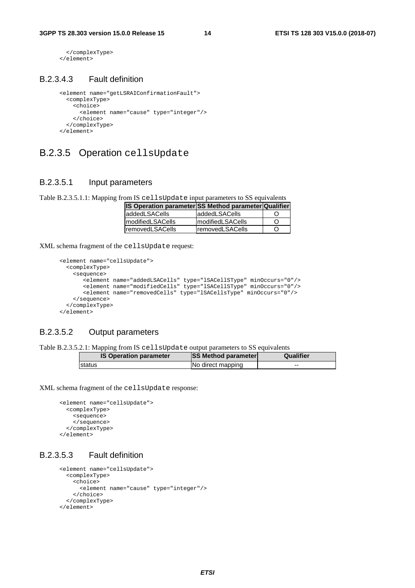```
 </complexType> 
 </element>
```
#### B.2.3.4.3 Fault definition

```
 <element name="getLSRAIConfirmationFault"> 
   <complexType> 
     <choice> 
       <element name="cause" type="integer"/> 
     </choice> 
   </complexType> 
 </element>
```
### B.2.3.5 Operation cellsUpdate

#### B.2.3.5.1 Input parameters

Table B.2.3.5.1.1: Mapping from IS cellsUpdate input parameters to SS equivalents

| <b>IS Operation parameter SS Method parameter Qualifier</b> |                          |     |
|-------------------------------------------------------------|--------------------------|-----|
| laddedLSACells                                              | laddedLSACells           |     |
| ImodifiedLSACells                                           | <b>ImodifiedLSACells</b> | ( ) |
| <b>IremovedLSACells</b>                                     | <b>IremovedLSACells</b>  | Ő   |

XML schema fragment of the cellsUpdate request:

```
 <element name="cellsUpdate"> 
        <complexType> 
          <sequence> 
             <element name="addedLSACells" type="lSACellSType" minOccurs="0"/> 
 <element name="modifiedCells" type="lSACellSType" minOccurs="0"/> 
 <element name="removedCells" type="lSACellsType" minOccurs="0"/> 
          </sequence> 
        </complexType> 
      </element>
```
### B.2.3.5.2 Output parameters

Table B.2.3.5.2.1: Mapping from IS cellsUpdate output parameters to SS equivalents

| <b>IS Operation parameter</b> | <b>SS Method parameter</b> | Qualifier |
|-------------------------------|----------------------------|-----------|
| Istatus                       | No direct mapping          | $-$       |

XML schema fragment of the cellsUpdate response:

```
 <element name="cellsUpdate"> 
   <complexType> 
     <sequence> 
     </sequence> 
   </complexType> 
 </element>
```
#### B.2.3.5.3 Fault definition

```
 <element name="cellsUpdate"> 
   <complexType> 
     <choice> 
       <element name="cause" type="integer"/> 
     </choice> 
  </complexType> 
 </element>
```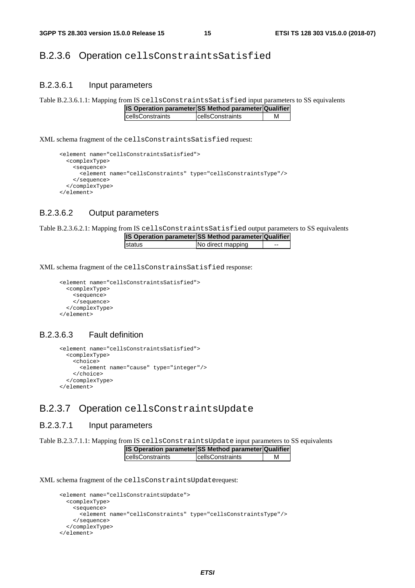### B.2.3.6 Operation cellsConstraintsSatisfied

#### B.2.3.6.1 Input parameters

Table B.2.3.6.1.1: Mapping from IS cellsConstraintsSatisfied input parameters to SS equivalents

| IS Operation parameter SS Method parameter Qualifier |  |                          |   |
|------------------------------------------------------|--|--------------------------|---|
| <b>IcellsConstraints</b>                             |  | <b>IcellsConstraints</b> | М |

XML schema fragment of the cellsConstraintsSatisfied request:

```
 <element name="cellsConstraintsSatisfied"> 
   <complexType> 
     <sequence> 
       <element name="cellsConstraints" type="cellsConstraintsType"/> 
     </sequence> 
   </complexType> 
 </element>
```
#### B.2.3.6.2 Output parameters

Table B.2.3.6.2.1: Mapping from IS cellsConstraintsSatisfied output parameters to SS equivalents

| <b>IS Operation parameter SS Method parameter Qualifier</b> |                   |    |
|-------------------------------------------------------------|-------------------|----|
| <b>Istatus</b>                                              | No direct mapping | -- |

XML schema fragment of the cellsConstrainsSatisfied response:

```
 <element name="cellsConstraintsSatisfied"> 
  <complexType> 
     <sequence> 
     </sequence> 
   </complexType> 
 </element>
```
#### B.2.3.6.3 Fault definition

```
 <element name="cellsConstraintsSatisfied"> 
   <complexType> 
     <choice> 
       <element name="cause" type="integer"/> 
     </choice> 
   </complexType> 
 </element>
```
### B.2.3.7 Operation cellsConstraintsUpdate

#### B.2.3.7.1 Input parameters

Table B.2.3.7.1.1: Mapping from IS cellsConstraintsUpdate input parameters to SS equivalents

| <b>IS Operation parameter SS Method parameter Qualifier</b> |                          |  |
|-------------------------------------------------------------|--------------------------|--|
| <b>IcellsConstraints</b>                                    | <b>IcellsConstraints</b> |  |

XML schema fragment of the cellsConstraintsUpdaterequest:

```
 <element name="cellsConstraintsUpdate"> 
   <complexType> 
    <sequence> 
       <element name="cellsConstraints" type="cellsConstraintsType"/> 
     </sequence> 
   </complexType> 
 </element>
```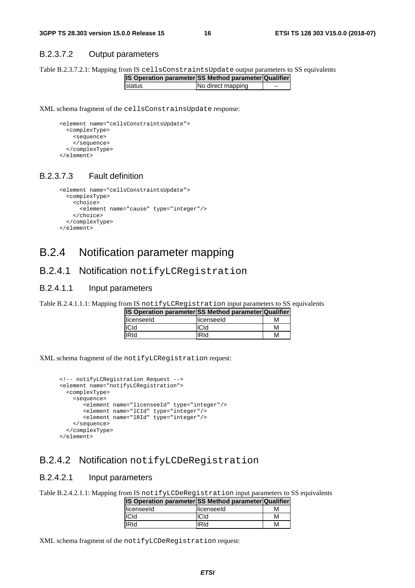#### B.2.3.7.2 Output parameters

Table B.2.3.7.2.1: Mapping from IS cellsConstraintsUpdate output parameters to SS equivalents

| <b>IS Operation parameter SS Method parameter Qualifier</b> |                   |    |
|-------------------------------------------------------------|-------------------|----|
| <b>Istatus</b>                                              | No direct mapping | -- |

XML schema fragment of the cellsConstrainsUpdate response:

```
 <element name="cellsConstraintsUpdate"> 
   <complexType> 
     <sequence> 
     </sequence> 
   </complexType> 
 </element>
```
#### B.2.3.7.3 Fault definition

```
 <element name="cellsConstraintsUpdate"> 
   <complexType> 
     <choice> 
       <element name="cause" type="integer"/> 
     </choice> 
   </complexType> 
 </element>
```
### B.2.4 Notification parameter mapping

#### B.2.4.1 Notification notifyLCRegistration

#### B.2.4.1.1 Input parameters

Table B.2.4.1.1.1: Mapping from IS notifyLCRegistration input parameters to SS equivalents

| IS Operation parameter SS Method parameter Qualifier |             |   |
|------------------------------------------------------|-------------|---|
| licenseeld                                           | llicenseeld | м |
| <b>ICId</b>                                          | <b>ICId</b> | м |
| <b>IRId</b>                                          | IRId        | м |

XML schema fragment of the notifyLCRegistration request:

```
 <!-- notifyLCRegistration Request --> 
      <element name="notifyLCRegistration"> 
        <complexType> 
          <sequence> 
             <element name="licenseeId" type="integer"/> 
 <element name="lCId" type="integer"/> 
 <element name="lRId" type="integer"/> 
          </sequence> 
        </complexType> 
      </element>
```
### B.2.4.2 Notification notifyLCDeRegistration

#### B.2.4.2.1 Input parameters

Table B.2.4.2.1.1: Mapping from IS notifyLCDeRegistration input parameters to SS equivalents

| <b>IS Operation parameter SS Method parameter Qualifier</b> |              |   |
|-------------------------------------------------------------|--------------|---|
| llicenseeld                                                 | llicenseeld  | м |
| <b>ICId</b>                                                 | <b>ICId</b>  | М |
| <b>IRId</b>                                                 | <b>IRI</b> d | м |

XML schema fragment of the notifyLCDeRegistration request: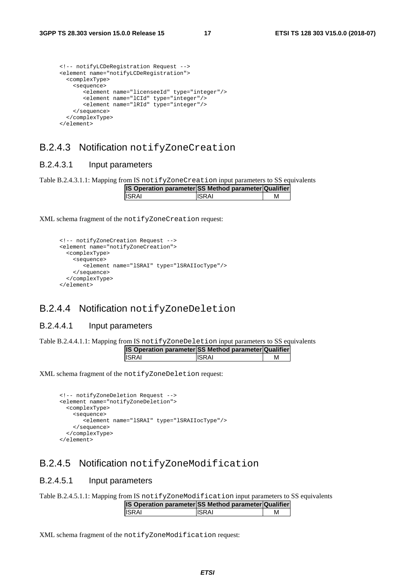| notifyLCDeRegistration Request                       |
|------------------------------------------------------|
| <element name="notifyLCDeRegistration"></element>    |
| <complextype></complextype>                          |
| <sequence></sequence>                                |
| <element name="licenseeId" type="integer"></element> |
| <element name="lCId" type="integer"></element>       |
| <element name="lRId" type="integer"></element>       |
|                                                      |
|                                                      |
|                                                      |

### B.2.4.3 Notification notifyZoneCreation

#### B.2.4.3.1 Input parameters

Table B.2.4.3.1.1: Mapping from IS notifyZoneCreation input parameters to SS equivalents

| <b>IS Operation parameter SS Method parameter Qualifier</b> |               |  |
|-------------------------------------------------------------|---------------|--|
| <b>ISRAI</b>                                                | <b>IISRAI</b> |  |

XML schema fragment of the notifyZoneCreation request:

```
 <!-- notifyZoneCreation Request --> 
 <element name="notifyZoneCreation"> 
  <complexType> 
    <sequence> 
        <element name="lSRAI" type="lSRAIIocType"/> 
    </sequence> 
   </complexType> 
 </element>
```
### B.2.4.4 Notification notifyZoneDeletion

#### B.2.4.4.1 Input parameters

Table B.2.4.4.1.1: Mapping from IS notifyZoneDeletion input parameters to SS equivalents

| <b>IS Operation parameter SS Method parameter Qualifier</b> |        |  |
|-------------------------------------------------------------|--------|--|
| <b>ISRAI</b>                                                | IISRAI |  |

XML schema fragment of the notifyZoneDeletion request:

```
 <!-- notifyZoneDeletion Request --> 
 <element name="notifyZoneDeletion"> 
  <complexType> 
    <sequence> 
        <element name="lSRAI" type="lSRAIIocType"/> 
     </sequence> 
   </complexType> 
 </element>
```
### B.2.4.5 Notification notifyZoneModification

#### B.2.4.5.1 Input parameters

Table B.2.4.5.1.1: Mapping from IS notifyZoneModification input parameters to SS equivalents

| <b>IS Operation parameter SS Method parameter Qualifier</b> |        |   |
|-------------------------------------------------------------|--------|---|
| IISRAI                                                      | IISRAI | м |

XML schema fragment of the notifyZoneModification request: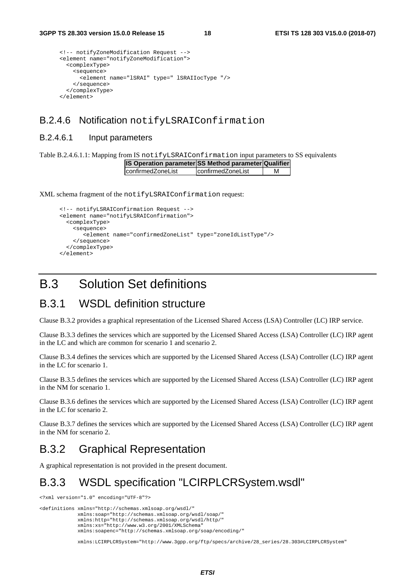```
 <!-- notifyZoneModification Request --> 
 <element name="notifyZoneModification"> 
   <complexType> 
     <sequence> 
       <element name="lSRAI" type=" lSRAIIocType "/> 
     </sequence> 
   </complexType> 
 </element>
```
### B.2.4.6 Notification notifyLSRAIConfirmation

#### B.2.4.6.1 Input parameters

Table B.2.4.6.1.1: Mapping from IS notifyLSRAIConfirmation input parameters to SS equivalents

| IS Operation parameter SS Method parameter Qualifier |                          |   |
|------------------------------------------------------|--------------------------|---|
| confirmedZoneList                                    | <i>confirmedZoneList</i> | м |

XML schema fragment of the notifyLSRAIConfirmation request:

```
 <!-- notifyLSRAIConfirmation Request --> 
 <element name="notifyLSRAIConfirmation"> 
   <complexType> 
     <sequence> 
        <element name="confirmedZoneList" type="zoneIdListType"/> 
     </sequence> 
   </complexType> 
 </element>
```
## B.3 Solution Set definitions

### B.3.1 WSDL definition structure

Clause B.3.2 provides a graphical representation of the Licensed Shared Access (LSA) Controller (LC) IRP service.

Clause B.3.3 defines the services which are supported by the Licensed Shared Access (LSA) Controller (LC) IRP agent in the LC and which are common for scenario 1 and scenario 2.

Clause B.3.4 defines the services which are supported by the Licensed Shared Access (LSA) Controller (LC) IRP agent in the LC for scenario 1.

Clause B.3.5 defines the services which are supported by the Licensed Shared Access (LSA) Controller (LC) IRP agent in the NM for scenario 1.

Clause B.3.6 defines the services which are supported by the Licensed Shared Access (LSA) Controller (LC) IRP agent in the LC for scenario 2.

Clause B.3.7 defines the services which are supported by the Licensed Shared Access (LSA) Controller (LC) IRP agent in the NM for scenario 2.

# B.3.2 Graphical Representation

A graphical representation is not provided in the present document.

# B.3.3 WSDL specification "LCIRPLCRSystem.wsdl"

<?xml version="1.0" encoding="UTF-8"?>

<definitions xmlns="http://schemas.xmlsoap.org/wsdl/" xmlns:soap="http://schemas.xmlsoap.org/wsdl/soap/" xmlns:http="http://schemas.xmlsoap.org/wsdl/http/" xmlns:xs="http://www.w3.org/2001/XMLSchema" xmlns:soapenc="http://schemas.xmlsoap.org/soap/encoding/"

xmlns:LCIRPLCRSystem="http://www.3gpp.org/ftp/specs/archive/28\_series/28.303#LCIRPLCRSystem"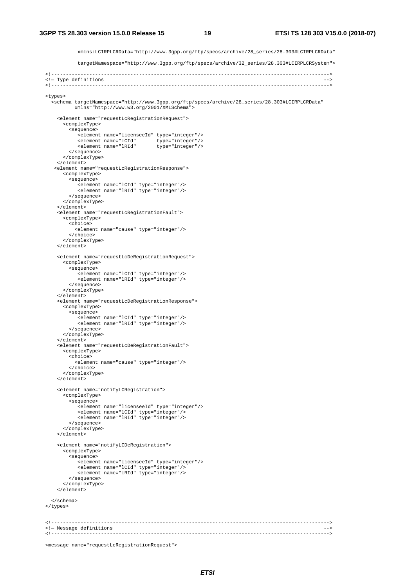xmlns:LCIRPLCRData="http://www.3gpp.org/ftp/specs/archive/28\_series/28.303#LCIRPLCRData"

targetNamespace="http://www.3gpp.org/ftp/specs/archive/32\_series/28.303#LCIRPLCRSystem">

```
 <!-----------------------------------------------------------------------------------------------> 
  <!— Type definitions --> 
  <!-----------------------------------------------------------------------------------------------> 
  <types> 
    <schema targetNamespace="http://www.3gpp.org/ftp/specs/archive/28_series/28.303#LCIRPLCRData" 
            xmlns="http://www.w3.org/2001/XMLSchema"> 
      <element name="requestLcRegistrationRequest"> 
        <complexType> 
           <sequence> 
              <element name="licenseeId" type="integer"/> 
 <element name="lCId" type="integer"/> 
 <element name="lRId" type="integer"/> 
           </sequence> 
         </complexType> 
      </element> 
     <element name="requestLcRegistrationResponse"> 
         <complexType> 
          <sequence> 
 <element name="lCId" type="integer"/> 
 <element name="lRId" type="integer"/> 
           </sequence> 
        </complexType> 
       </element> 
      <element name="requestLcRegistrationFault"> 
        <complexType> 
           <choice> 
             <element name="cause" type="integer"/> 
           </choice> 
        </complexType> 
      </element> 
      <element name="requestLcDeRegistrationRequest"> 
         <complexType> 
           <sequence> 
 <element name="lCId" type="integer"/> 
 <element name="lRId" type="integer"/> 
           </sequence> 
         </complexType> 
       </element> 
      <element name="requestLcDeRegistrationResponse"> 
        <complexType> 
           <sequence> 
              <element name="lCId" type="integer"/> 
              <element name="lRId" type="integer"/> 
           </sequence> 
        </complexType> 
      </element> 
       <element name="requestLcDeRegistrationFault"> 
        <complexType> 
           <choice> 
             <element name="cause" type="integer"/> 
         z/choice>
        </complexType> 
      </element> 
      <element name="notifyLCRegistration"> 
        <complexType> 
           <sequence> 
              <element name="licenseeId" type="integer"/> 
 <element name="lCId" type="integer"/> 
 <element name="lRId" type="integer"/> 
           </sequence> 
         </complexType> 
     2/2lement\sim <element name="notifyLCDeRegistration"> 
        <complexType> 
           <sequence> 
              <element name="licenseeId" type="integer"/> 
 <element name="lCId" type="integer"/> 
 <element name="lRId" type="integer"/> 
           </sequence> 
         </complexType> 
      </element> 
    </schema> 
  </types> 
  <!-----------------------------------------------------------------------------------------------> 
  <!— Message definitions --> 
  <!----------------------------------------------------------------------------------------------->
```
<message name="requestLcRegistrationRequest">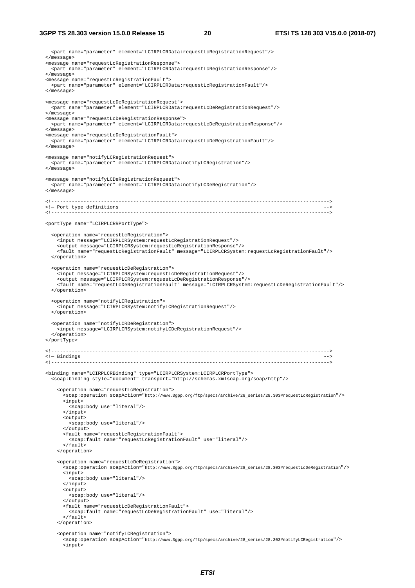<part name="parameter" element="LCIRPLCRData:requestLcRegistrationRequest"/> </message> <message name="requestLcRegistrationResponse"> <part name="parameter" element="LCIRPLCRData:requestLcRegistrationResponse"/> </message> <message name="requestLcRegistrationFault"> <part name="parameter" element="LCIRPLCRData:requestLcRegistrationFault"/> </message> <message name="requestLcDeRegistrationRequest"> <part name="parameter" element="LCIRPLCRData:requestLcDeRegistrationRequest"/> </message> <message name="requestLcDeRegistrationResponse"> <part name="parameter" element="LCIRPLCRData:requestLcDeRegistrationResponse"/> </message> <message name="requestLcDeRegistrationFault"> <part name="parameter" element="LCIRPLCRData:requestLcDeRegistrationFault"/> </message> <message name="notifyLCRegistrationRequest"> <part name="parameter" element="LCIRPLCRData:notifyLCRegistration"/> </message> <message name="notifyLCDeRegistrationRequest"> <part name="parameter" element="LCIRPLCRData:notifyLCDeRegistration"/> </message> <!----------------------------------------------------------------------------------------------->  $\leftarrow$  - Port type definitions <!-----------------------------------------------------------------------------------------------> <portType name="LCIRPLCRRPortType"> <operation name="requestLcRegistration"> <input message="LCIRPLCRSystem:requestLcRegistrationRequest"/> <output message="LCIRPLCRSystem:requestLcRegistrationResponse"/> <fault name="requestLcRegistrationFault" message="LCIRPLCRSystem:requestLcRegistrationFault"/> </operation> <operation name="requestLcDeRegistration"> <input message="LCIRPLCRSystem:requestLcDeRegistrationRequest"/> <output message="LCIRPLCRSystem:requestLcDeRegistrationResponse"/> <fault name="requestLcDeRegistrationFault" message="LCIRPLCRSystem:requestLcDeRegistrationFault"/> </operation> <operation name="notifyLCRegistration"> <input message="LCIRPLCRSystem:notifyLCRegistrationRequest"/> </operation> <operation name="notifyLCRDeRegistration"> <input message="LCIRPLCRSystem:notifyLCDeRegistrationRequest"/> </operation> </portType> <!-----------------------------------------------------------------------------------------------> <!- Bindings<br><!--------- <!-----------------------------------------------------------------------------------------------> <binding name="LCIRPLCRBinding" type="LCIRPLCRSystem:LCIRPLCRPortType"> <soap:binding style="document" transport="http://schemas.xmlsoap.org/soap/http"/> <operation name="requestLcRegistration"> .<br><soap:operation soapAction="http://www.3gpp.org/ftp/specs/archive/28\_series/28.303#requestLcRegistration"/> <input> <soap:body use="literal"/>  $\langle$ /input> <output> <soap:body use="literal"/> </output> <fault name="requestLcRegistrationFault"> <soap:fault name="requestLcRegistrationFault" use="literal"/>  $\langle$  / fault> </operation> <operation name="requestLcDeRegistration"> <soap:operation soapAction="http://www.3gpp.org/ftp/specs/archive/28\_series/28.303#requestLcDeRegistration"/> <input> <soap:body use="literal"/> </input> <output> <soap:body use="literal"/> </output> <fault name="requestLcDeRegistrationFault"> <soap:fault name="requestLcDeRegistrationFault" use="literal"/> </fault> </operation> <operation name="notifyLCRegistration"> .<br><soap:operation soapAction="http://www.3gpp.org/ftp/specs/archive/28\_series/28.303#notifyLCRegistration"/> <input>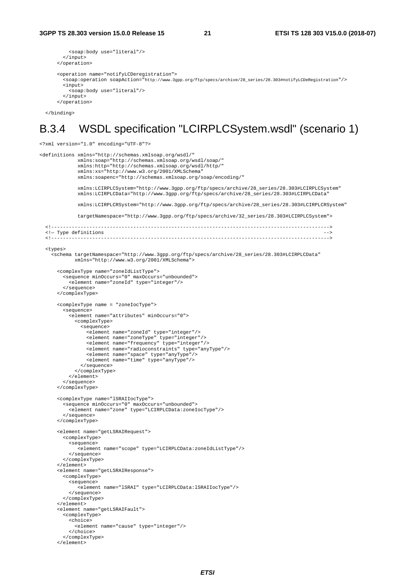```
 <soap:body use="literal"/> 
   </input> 
 </operation> 
 <operation name="notifyLCDeregistration"> 
  .<br><soap:operation soapAction="http://www.3gpp.org/ftp/specs/archive/28_series/28.303#notifyLCDeRegistration"/>
   <input> 
     <soap:body use="literal"/> 
   </input> 
 </operation>
```
</binding>

### B.3.4 WSDL specification "LCIRPLCSystem.wsdl" (scenario 1)

```
<?xml version="1.0" encoding="UTF-8"?> 
<definitions xmlns="http://schemas.xmlsoap.org/wsdl/" 
              xmlns:soap="http://schemas.xmlsoap.org/wsdl/soap/" 
              xmlns:http="http://schemas.xmlsoap.org/wsdl/http/" 
              xmlns:xs="http://www.w3.org/2001/XMLSchema" 
              xmlns:soapenc="http://schemas.xmlsoap.org/soap/encoding/" 
              xmlns:LCIRPLCSystem="http://www.3gpp.org/ftp/specs/archive/28_series/28.303#LCIRPLCSystem" 
              xmlns:LCIRPLCData="http://www.3gpp.org/ftp/specs/archive/28_series/28.303#LCIRPLCData" 
              xmlns:LCIRPLCRSystem="http://www.3gpp.org/ftp/specs/archive/28_series/28.303#LCIRPLCRSystem" 
              targetNamespace="http://www.3gpp.org/ftp/specs/archive/32_series/28.303#LCIRPLCSystem"> 
                 <!-----------------------------------------------------------------------------------------------> 
   <!— Type definitions --> 
   <!-----------------------------------------------------------------------------------------------> 
   <types> 
    --<br><schema targetNamespace="http://www.3gpp.org/ftp/specs/archive/28_series/28.303#LCIRPLCData"
             xmlns="http://www.w3.org/2001/XMLSchema"> 
       <complexType name="zoneIdListType"> 
         <sequence minOccurs="0" maxOccurs="unbounded"> 
           <element name="zoneId" type="integer"/> 
         </sequence> 
       </complexType> 
       <complexType name = "zoneIocType"> 
         <sequence> 
           <element name="attributes" minOccurs="0"> 
             <complexType> 
               <sequence> 
                 <element name="zoneId" type="integer"/> 
 <element name="zoneType" type="integer"/> 
 <element name="frequency" type="integer"/> 
                 <element name="radioconstraints" type="anyType"/> 
                 <element name="space" type="anyType"/> 
                  <element name="time" type="anyType"/> 
               </sequence> 
             </complexType> 
           </element> 
         </sequence> 
       </complexType> 
       <complexType name="lSRAIIocType"> 
         <sequence minOccurs="0" maxOccurs="unbounded"> 
           <element name="zone" type="LCIRPLCData:zoneIocType"/> 
         </sequence> 
       </complexType> 
       <element name="getLSRAIRequest"> 
         <complexType> 
           <sequence> 
              <element name="scope" type="LCIRPLCData:zoneIdListType"/> 
           </sequence> 
         </complexType> 
       </element> 
       <element name="getLSRAIResponse"> 
         <complexType> 
           <sequence> 
              <element name="lSRAI" type="LCIRPLCData:lSRAIIocType"/> 
           </sequence> 
         </complexType> 
       </element> 
       <element name="getLSRAIFault"> 
         <complexType> 
           <choice> 
             <element name="cause" type="integer"/> 
           </choice> 
         </complexType> 
       </element>
```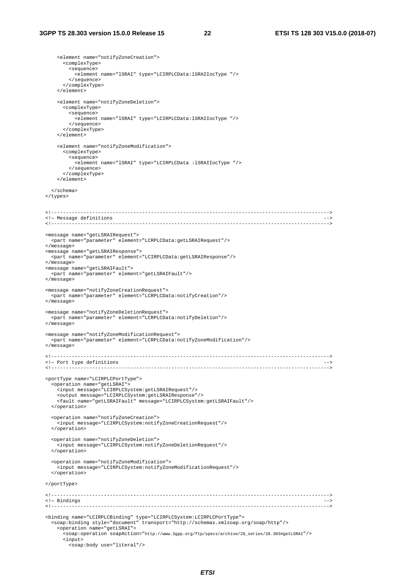```
 <element name="notifyZoneCreation"> 
       <complexType> 
        <sequence> 
          <element name="lSRAI" type="LCIRPLCData:lSRAIIocType "/> 
        </sequence> 
       </complexType> 
     </element> 
     <element name="notifyZoneDeletion"> 
       <complexType> 
         <sequence> 
           <element name="lSRAI" type="LCIRPLCData:lSRAIIocType "/> 
        </sequence> 
       </complexType> 
     </element> 
     <element name="notifyZoneModification"> 
       <complexType> 
         <sequence> 
          <element name="lSRAI" type="LCIRPLCData :lSRAIIocType "/> 
         </sequence> 
      </complexType> 
     </element> 
   </schema> 
 </types> 
 <!-----------------------------------------------------------------------------------------------> 
 <!— Message definitions --> 
                                     <!-----------------------------------------------------------------------------------------------> 
 <message name="getLSRAIRequest"> 
  <part name="parameter" element="LCRPLCData:getLSRAIRequest"/> 
 </message> 
 <message name="getLSRAIResponse"> 
   <part name="parameter" element="LCIRPLCData:getLSRAIResponse"/> 
 </message> 
 <message name="getLSRAIFault"> 
   <part name="parameter" element="getLSRAIFault"/> 
 </message> 
 <message name="notifyZoneCreationRequest"> 
   <part name="parameter" element="LCRPLCData:notifyCreation"/> 
 </message> 
 <message name="notifyZoneDeletionRequest"> 
  <part name="parameter" element="LCRPLCData:notifyDeletion"/> 
 </message> 
 <message name="notifyZoneModificationRequest"> 
  <part name="parameter" element="LCRPLCData:notifyZoneModification"/> 
 </message> 
 <!-----------------------------------------------------------------------------------------------> 
\leftarrow Port type definitions
 <!-----------------------------------------------------------------------------------------------> 
 <portType name="LCIRPLCPortType"> 
   <operation name="getLSRAI"> 
    <input message="LCIRPLCSystem:getLSRAIRequest"/> 
     <output message="LCIRPLCSystem:getLSRAIResponse"/> 
     <fault name="getLSRAIFault" message="LCIRPLCSystem:getLSRAIFault"/> 
  </operation> 
  <operation name="notifyZoneCreation"> 
     <input message="LCIRPLCSystem:notifyZoneCreationRequest"/> 
   </operation> 
  <operation name="notifyZoneDeletion"> 
     <input message="LCIRPLCSystem:notifyZoneDeletionRequest"/> 
   </operation> 
   <operation name="notifyZoneModification"> 
     <input message="LCIRPLCSystem:notifyZoneModificationRequest"/> 
   </operation> 
 </portType> 
 <!-----------------------------------------------------------------------------------------------> 
 <!— Bindings --> 
 <!-----------------------------------------------------------------------------------------------> 
 <binding name="LCIRPLCBinding" type="LCIRPLCSystem:LCIRPLCPortType"> 
   <soap:binding style="document" transport="http://schemas.xmlsoap.org/soap/http"/> 
     <operation name="getLSRAI"> 
       <soap:operation soapAction="http://www.3gpp.org/ftp/specs/archive/28_series/28.303#getLSRAI"/> 
       <input> 
         <soap:body use="literal"/>
```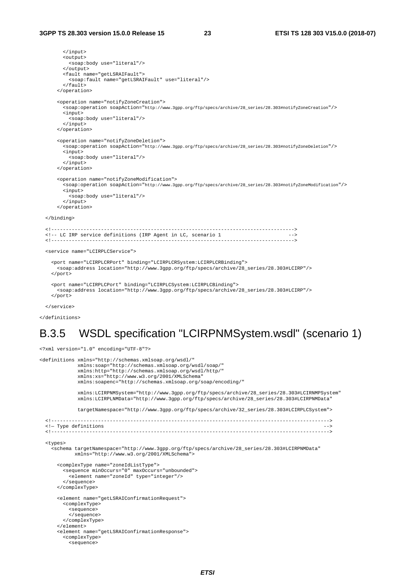```
 </input> 
       <output> 
          <soap:body use="literal"/> 
        </output> 
       <fault name="getLSRAIFault"> 
         <soap:fault name="getLSRAIFault" use="literal"/> 
       \epsilon/fault>
     </operation> 
     <operation name="notifyZoneCreation"> 
       .<br><soap:operation soapAction="http://www.3gpp.org/ftp/specs/archive/28_series/28.303#notifyZoneCreation"/>
        <input> 
          <soap:body use="literal"/> 
        </input> 
     </operation> 
     <operation name="notifyZoneDeletion"> 
        <soap:operation soapAction="http://www.3gpp.org/ftp/specs/archive/28_series/28.303#notifyZoneDeletion"/> 
        <input> 
          <soap:body use="literal"/> 
        </input> 
     </operation> 
     <operation name="notifyZoneModification"> 
        <soap:operation soapAction="http://www.3gpp.org/ftp/specs/archive/28_series/28.303#notifyZoneModification"/> 
        <input> 
          <soap:body use="literal"/> 
       </input> 
     </operation> 
 </binding> 
           <!-----------------------------------------------------------------------------------> 
 <!-- LC IRP service definitions (IRP Agent in LC, scenario 1 --> 
                                                           <!-----------------------------------------------------------------------------------> 
 <service name="LCIRPLCService"> 
   <port name="LCIRPLCRPort" binding="LCIRPLCRSystem:LCIRPLCRBinding"> 
     <soap:address location="http://www.3gpp.org/ftp/specs/archive/28_series/28.303#LCIRP"/> 
   </port> 
   <port name="LCIRPLCPort" binding="LCIRPLCSystem:LCIRPLCBinding"> 
     <soap:address location="http://www.3gpp.org/ftp/specs/archive/28_series/28.303#LCIRP"/> 
   </port> 
 </service>
```
</definitions>

### B.3.5 WSDL specification "LCIRPNMSystem.wsdl" (scenario 1)

<?xml version="1.0" encoding="UTF-8"?>

```
<definitions xmlns="http://schemas.xmlsoap.org/wsdl/" 
 xmlns:soap="http://schemas.xmlsoap.org/wsdl/soap/" 
 xmlns:http="http://schemas.xmlsoap.org/wsdl/http/" 
 xmlns:xs="http://www.w3.org/2001/XMLSchema" 
               xmlns:soapenc="http://schemas.xmlsoap.org/soap/encoding/" 
 xmlns:LCIRPNMSystem="http://www.3gpp.org/ftp/specs/archive/28_series/28.303#LCIRNMPSystem" 
 xmlns:LCIRPLNMData="http://www.3gpp.org/ftp/specs/archive/28_series/28.303#LCIRPNMData" 
               targetNamespace="http://www.3gpp.org/ftp/specs/archive/32_series/28.303#LCIRPLCSystem"> 
   <!-----------------------------------------------------------------------------------------------> 
   <!— Type definitions --> 
   <!-----------------------------------------------------------------------------------------------> 
   <types> 
     <schema targetNamespace="http://www.3gpp.org/ftp/specs/archive/28_series/28.303#LCIRPNMData" 
              xmlns="http://www.w3.org/2001/XMLSchema"> 
       <complexType name="zoneIdListType"> 
         <sequence minOccurs="0" maxOccurs="unbounded"> 
            <element name="zoneId" type="integer"/> 
          </sequence> 
       </complexType> 
       <element name="getLSRAIConfirmationRequest"> 
          <complexType> 
            <sequence> 
            </sequence> 
          </complexType> 
       </element> 
       <element name="getLSRAIConfirmationResponse"> 
          <complexType> 
            <sequence>
```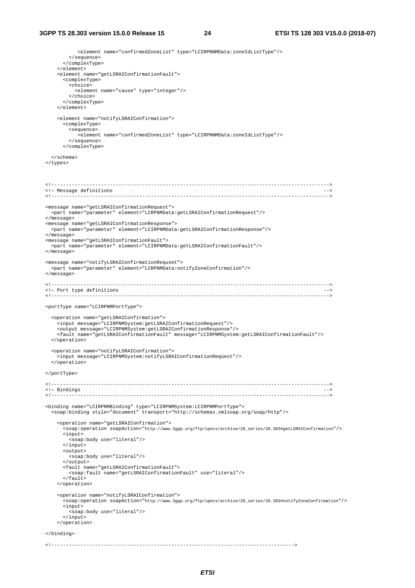<element name="confirmedZoneList" type="LCIRPNNMData:zoneIdListType"/> </sequence> </complexType> </element> <element name="getLSRAIConfirmationFault"> <complexType> <choice> <element name="cause" type="integer"/> </choice> </complexType> </element> <element name="notifyLSRAIConfirmation"> <complexType> <sequence> <element name="confirmedZoneList" type="LCIRPNNMData:zoneIdListType"/> </sequence> </complexType> </schema> </types> <!----------------------------------------------------------------------------------------------->  $\leftarrow$  - Message definitions <!-----------------------------------------------------------------------------------------------> <message name="getLSRAIConfirmationRequest"> <part name="parameter" element="LCRPNMData:getLSRAIConfirmationRequest"/> </message> <message name="getLSRAIConfirmationResponse"> <part name="parameter" element="LCIRPNMData:getLSRAIConfirmationResponse"/> </message> <message name="getLSRAIConfirmationFault"> <part name="parameter" element="LCIRPNMData:getLSRAIConfirmationFault"/> </message> <message name="notifyLSRAIConfirmationRequset"> <part name="parameter" element="LCRPNMData:notifyZoneConfirmation"/> </message> <!-----------------------------------------------------------------------------------------------> <!- Port type definitions <!-----------------------------------------------------------------------------------------------> <portType name="LCIRPNMPortType"> <operation name="getLSRAIConfirmation"> <input message="LCIRPNMSystem:getLSRAIConfirmationRequest"/> <output message="LCIRPNMSystem:getLSRAIConfirmationResponse"/> <fault name="getLSRAIConfirmationFault" message="LCIRPNMSystem:getLSRAIConfirmationFault"/> </operation> <operation name="notifyLSRAIConfirmation"> .<br><input message="LCIRPNMSystem:notifyLSRAIConfirmationRequest"/> </operation> </portType> <!----------------------------------------------------------------------------------------------->  $\leftarrow$  - Bindings <!-----------------------------------------------------------------------------------------------> <binding name="LCIRPNMBinding" type="LCIRPNMSystem:LCIRPNMPortType"> <soap:binding style="document" transport="http://schemas.xmlsoap.org/soap/http"/> <operation name="getLSRAIConfirmation"> <soap:operation soapAction="http://www.3gpp.org/ftp/specs/archive/28\_series/28.303#getLSRAIConfirmation"/> <input> <soap:body use="literal"/> </input> <output> <soap:body use="literal"/> </output> <fault name="getLSRAIConfirmationFault"> <soap:fault name="getLSRAIConfirmationFault" use="literal"/> </fault> </operation> <operation name="notifyLSRAIConfirmation"> <soap:operation soapAction="http://www.3gpp.org/ftp/specs/archive/28\_series/28.303#notifyZoneConfirmation"/> <input> <soap:body use="literal"/> </input> </operation> </binding> <!----------------------------------------------------------------------------------->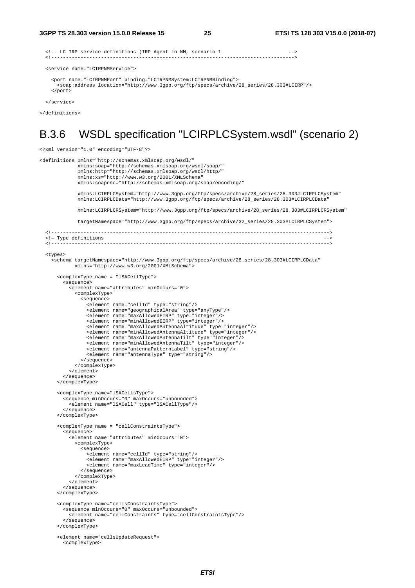```
 <!-- LC IRP service definitions (IRP Agent in NM, scenario 1 --> 
                                                      <!-----------------------------------------------------------------------------------> 
 <service name="LCIRPNMService"> 
   <port name="LCIRPNMPort" binding="LCIRPNMSystem:LCIRPNMBinding">
```

```
 <soap:address location="http://www.3gpp.org/ftp/specs/archive/28_series/28.303#LCIRP"/> 
 </port>
```
</service>

</definitions>

### B.3.6 WSDL specification "LCIRPLCSystem.wsdl" (scenario 2)

<?xml version="1.0" encoding="UTF-8"?>

```
<definitions xmlns="http://schemas.xmlsoap.org/wsdl/" 
               xmlns:soap="http://schemas.xmlsoap.org/wsdl/soap/" 
               xmlns:http="http://schemas.xmlsoap.org/wsdl/http/" 
               xmlns:xs="http://www.w3.org/2001/XMLSchema" 
               xmlns:soapenc="http://schemas.xmlsoap.org/soap/encoding/" 
               xmlns:LCIRPLCSystem="http://www.3gpp.org/ftp/specs/archive/28_series/28.303#LCIRPLCSystem" 
               xmlns:LCIRPLCData="http://www.3gpp.org/ftp/specs/archive/28_series/28.303#LCIRPLCData" 
               xmlns:LCIRPLCRSystem="http://www.3gpp.org/ftp/specs/archive/28_series/28.303#LCIRPLCRSystem" 
               targetNamespace="http://www.3gpp.org/ftp/specs/archive/32_series/28.303#LCIRPLCSystem"> 
   <!-----------------------------------------------------------------------------------------------> 
   <!— Type definitions --> 
                             <!-----------------------------------------------------------------------------------------------> 
   <types> 
     <schema targetNamespace="http://www.3gpp.org/ftp/specs/archive/28_series/28.303#LCIRPLCData" 
              xmlns="http://www.w3.org/2001/XMLSchema"> 
       <complexType name = "lSACellType"> 
          <sequence> 
            <element name="attributes" minOccurs="0"> 
              <complexType> 
                <sequence> 
                  <element name="cellId" type="string"/> 
                   <element name="geographicalArea" type="anyType"/> 
                  <element name="maxAllowedEIRP" type="integer"/> 
                   <element name="minAllowedEIRP" type="integer"/> 
 <element name="maxAllowedAntennaAltitude" type="integer"/> 
 <element name="minAllowedAntennaAltitude" type="integer"/> 
<element name="maxAllowedAntennaTilt" type="integer"/><br><element name="minAllowedAntennaTilt" type="integer"/>
                   <element name="antennaPatternLabel" type="string"/> 
                   <element name="antennaType" type="string"/> 
                </sequence> 
              </complexType> 
            </element> 
          </sequence> 
       </complexType> 
 <complexType name="lSACellsType"> 
 <sequence minOccurs="0" maxOccurs="unbounded"> 
            <element name="lSACell" type="lSACellType"/> 
          </sequence> 
       </complexType> 
       <complexType name = "cellConstraintsType"> 
          <sequence> 
            <element name="attributes" minOccurs="0"> 
              <complexType> 
                <sequence> 
                  <element name="cellId" type="string"/> 
<element name="maxAllowedEIRP" type="integer"/><br><element name="maxLeadTime" type="integer"/>
                </sequence> 
              </complexType> 
            </element> 
          </sequence> 
       </complexType> 
       <complexType name="cellsConstraintsType"> 
          <sequence minOccurs="0" maxOccurs="unbounded"> 
            <element name="cellConstraints" type="cellConstraintsType"/> 
          </sequence> 
       </complexType> 
       <element name="cellsUpdateRequest"> 
         <complexType>
```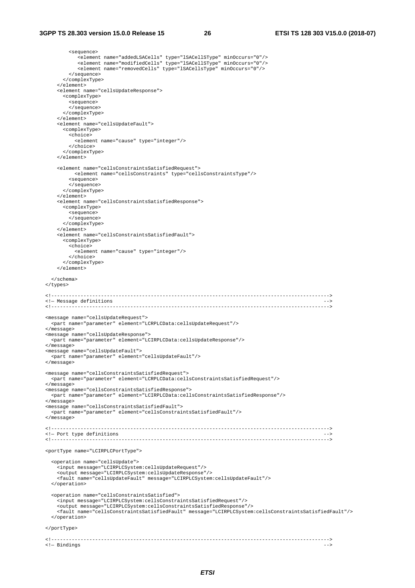#### **3GPP TS 28.303 version 15.0.0 Release 15 26 ETSI TS 128 303 V15.0.0 (2018-07)**

<sequence>

 <element name="addedLSACells" type="lSACellSType" minOccurs="0"/> <element name="modifiedCells" type="lSACellSType" minOccurs="0"/> <element name="removedCells" type="lSACellsType" minOccurs="0"/> </sequence> </complexType> </element> <element name="cellsUpdateResponse"> <complexType> <sequence> </sequence> </complexType> </element> <element name="cellsUpdateFault"> <complexType> <choice> <element name="cause" type="integer"/> </choice> </complexType> </element> <element name="cellsConstraintsSatisfiedRequest"> <element name="cellsConstraints" type="cellsConstraintsType"/> <sequence> </sequence> </complexType> </element> <element name="cellsConstraintsSatisfiedResponse"> <complexType> <sequence> </sequence> </complexType> </element> <element name="cellsConstraintsSatisfiedFault"> <complexType> <choice> <element name="cause" type="integer"/> </choice> </complexType> </element> </schema> </types> <!-----------------------------------------------------------------------------------------------> <!- Message definitions  $\overline{\phantom{a}}$  <!-----------------------------------------------------------------------------------------------> <message name="cellsUpdateRequest"> <part name="parameter" element="LCRPLCData:cellsUpdateRequest"/> </message> <message name="cellsUpdateResponse"> <part name="parameter" element="LCIRPLCData:cellsUpdateResponse"/> </message> <message name="cellsUpdateFault"> <part name="parameter" element="cellsUpdateFault"/> </message> <message name="cellsConstraintsSatisfiedRequest"> <part name="parameter" element="LCRPLCData:cellsConstraintsSatisfiedRequest"/> </message> <message name="cellsConstraintsSatisfiedResponse"> <part name="parameter" element="LCIRPLCData:cellsConstraintsSatisfiedResponse"/> </message> <message name="cellsConstraintsSatisfiedFault"> <part name="parameter" element="cellsConstraintsSatisfiedFault"/> </message> <!-----------------------------------------------------------------------------------------------> <!— Port type definitions --> <!-----------------------------------------------------------------------------------------------> <portType name="LCIRPLCPortType"> <operation name="cellsUpdate"> <input message="LCIRPLCSystem:cellsUpdateRequest"/> <output message="LCIRPLCSystem:cellsUpdateResponse"/> <fault name="cellsUpdateFault" message="LCIRPLCSystem:cellsUpdateFault"/> </operation> <operation name="cellsConstraintsSatisfied"> <input message="LCIRPLCSystem:cellsConstraintsSatisfiedRequest"/> <output message="LCIRPLCSystem:cellsConstraintsSatisfiedResponse"/> <fault name="cellsConstraintsSatisfiedFault" message="LCIRPLCSystem:cellsConstraintsSatisfiedFault"/> </operation> </portType> <!----------------------------------------------------------------------------------------------->  $\leftarrow$  - Bindings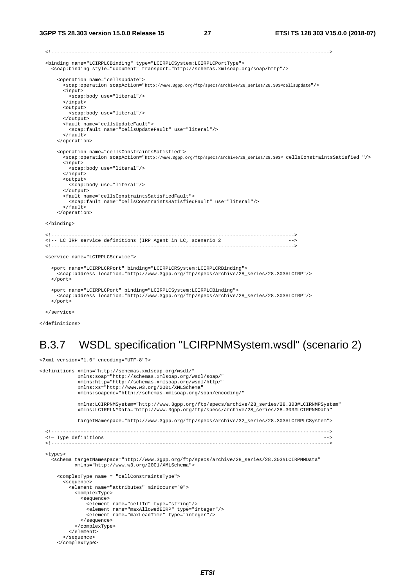<!-----------------------------------------------------------------------------------------------> <binding name="LCIRPLCBinding" type="LCIRPLCSystem:LCIRPLCPortType"> <soap:binding style="document" transport="http://schemas.xmlsoap.org/soap/http"/> <operation name="cellsUpdate"> <soap:operation soapAction="http://www.3gpp.org/ftp/specs/archive/28\_series/28.303#cellsUpdate"/> <input> <soap:body use="literal"/> </input> <output> <soap:body use="literal"/> </output> <fault name="cellsUpdateFault"> <soap:fault name="cellsUpdateFault" use="literal"/> </fault> </operation> <operation name="cellsConstraintsSatisfied"> <soap:operation soapAction="http://www.3gpp.org/ftp/specs/archive/28\_series/28.303# cellsConstraintsSatisfied "/> <input> <soap:body use="literal"/> </input> <output> <soap:body use="literal"/> </output> <fault name="cellsConstraintsSatisfiedFault"> <soap:fault name="cellsConstraintsSatisfiedFault" use="literal"/> </fault> </operation> </binding> <!-----------------------------------------------------------------------------------> <!-- LC IRP service definitions (IRP Agent in LC, scenario 2 --> <!-----------------------------------------------------------------------------------> <service name="LCIRPLCService"> <port name="LCIRPLCRPort" binding="LCIRPLCRSystem:LCIRPLCRBinding"> <soap:address location="http://www.3gpp.org/ftp/specs/archive/28\_series/28.303#LCIRP"/> </port> <port name="LCIRPLCPort" binding="LCIRPLCSystem:LCIRPLCBinding"> <soap:address location="http://www.3gpp.org/ftp/specs/archive/28\_series/28.303#LCIRP"/> </port>

</service>

</definitions>

# B.3.7 WSDL specification "LCIRPNMSystem.wsdl" (scenario 2)

<?xml version="1.0" encoding="UTF-8"?>

```
<definitions xmlns="http://schemas.xmlsoap.org/wsdl/" 
              xmlns:soap="http://schemas.xmlsoap.org/wsdl/soap/" 
              xmlns:http="http://schemas.xmlsoap.org/wsdl/http/" 
              xmlns:xs="http://www.w3.org/2001/XMLSchema" 
              xmlns:soapenc="http://schemas.xmlsoap.org/soap/encoding/" 
              xmlns:LCIRPNMSystem="http://www.3gpp.org/ftp/specs/archive/28_series/28.303#LCIRNMPSystem" 
              xmlns:LCIRPLNMData="http://www.3gpp.org/ftp/specs/archive/28_series/28.303#LCIRPNMData" 
              targetNamespace="http://www.3gpp.org/ftp/specs/archive/32_series/28.303#LCIRPLCSystem"> 
   <!-----------------------------------------------------------------------------------------------> 
   <!— Type definitions --> 
                          <!-----------------------------------------------------------------------------------------------> 
   <types> 
 <schema targetNamespace="http://www.3gpp.org/ftp/specs/archive/28_series/28.303#LCIRPNMData" 
 xmlns="http://www.w3.org/2001/XMLSchema"> 
       <complexType name = "cellConstraintsType"> 
         <sequence> 
           <element name="attributes" minOccurs="0"> 
             <complexType> 
               <sequence> 
                 <element name="cellId" type="string"/> 
                 <element name="maxAllowedEIRP" type="integer"/> 
                 <element name="maxLeadTime" type="integer"/> 
               </sequence> 
             </complexType> 
           </element> 
         </sequence> 
       </complexType>
```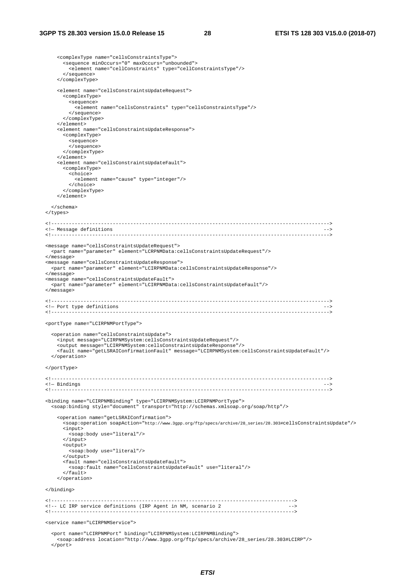```
 <complexType name="cellsConstraintsType"> 
         <sequence minOccurs="0" maxOccurs="unbounded"> 
           <element name="cellConstraints" type="cellConstraintsType"/> 
         </sequence> 
       </complexType> 
       <element name="cellsConstraintsUpdateRequest"> 
         <complexType> 
           <sequence> 
             <element name="cellsConstraints" type="cellsConstraintsType"/> 
           </sequence> 
         </complexType> 
       </element> 
       <element name="cellsConstraintsUpdateResponse"> 
         <complexType> 
           <sequence> 
           </sequence> 
         </complexType> 
       </element> 
       <element name="cellsConstraintsUpdateFault"> 
         <complexType> 
           <choice> 
             <element name="cause" type="integer"/> 
           </choice> 
         </complexType> 
       </element> 
     </schema> 
  </types> 
  <!-----------------------------------------------------------------------------------------------> 
  \leftarrow - Message definitions
                            <!-----------------------------------------------------------------------------------------------> 
 <message name="cellsConstraintsUpdateRequest"> 
 <part name="parameter" element="LCRPNMData:cellsConstraintsUpdateRequest"/> 
   </message> 
   <message name="cellsConstraintsUpdateResponse"> 
    <part name="parameter" element="LCIRPNMData:cellsConstraintsUpdateResponse"/> 
   </message> 
   <message name="cellsConstraintsUpdateFault"> 
     <part name="parameter" element="LCIRPNMData:cellsConstraintsUpdateFault"/> 
  </message> 
  <!-----------------------------------------------------------------------------------------------> 
  <!— Port type definitions --> 
  <!-----------------------------------------------------------------------------------------------> 
  <portType name="LCIRPNMPortType"> 
     <operation name="cellsConstraintsUpdate"> 
       <input message="LCIRPNMSystem:cellsConstraintsUpdateRequest"/> 
 <output message="LCIRPNMSystem:cellsConstraintsUpdateResponse"/> 
 <fault name="getLSRAIConfirmationFault" message="LCIRPNMSystem:cellsConstraintsUpdateFault"/> 
     </operation> 
  </portType> 
   <!-----------------------------------------------------------------------------------------------> 
 <!- Bindings<br> <!----------
                        <!-----------------------------------------------------------------------------------------------> 
 <binding name="LCIRPNMBinding" type="LCIRPNMSystem:LCIRPNMPortType"> 
 <soap:binding style="document" transport="http://schemas.xmlsoap.org/soap/http"/> 
       <operation name="getLSRAIConfirmation"> 
         .<br><soap:operation soapAction="http://www.3gpp.org/ftp/specs/archive/28_series/28.303#cellsConstraintsUpdate"/>
         <input> 
           <soap:body use="literal"/> 
         </input> 
         <output> 
           <soap:body use="literal"/> 
          </output> 
         <fault name="cellsConstraintsUpdateFault"> 
           <soap:fault name="cellsConstraintsUpdateFault" use="literal"/> 
         </fault> 
       </operation> 
   </binding> 
   <!-----------------------------------------------------------------------------------> 
   <!-- LC IRP service definitions (IRP Agent in NM, scenario 2 --> 
 <!-----------------------------------------------------------------------------------> 
   <service name="LCIRPNMService"> 
     <port name="LCIRPNMPort" binding="LCIRPNMSystem:LCIRPNMBinding"> 
       <soap:address location="http://www.3gpp.org/ftp/specs/archive/28_series/28.303#LCIRP"/> 
     </port>
```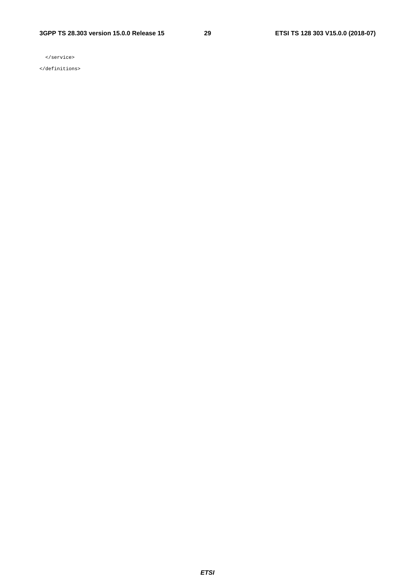#### **3GPP TS 28.303 version 15.0.0 Release 15 29 ETSI TS 128 303 V15.0.0 (2018-07)**

</service>

</definitions>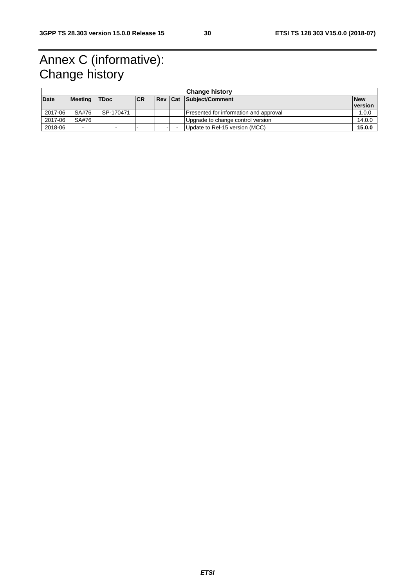# Annex C (informative): Change history

|             | <b>Change history</b>    |             |            |  |  |                                        |            |
|-------------|--------------------------|-------------|------------|--|--|----------------------------------------|------------|
| <b>Date</b> | Meeting                  | <b>TDoc</b> | <b>ICR</b> |  |  | <b>Rev Cat Subject/Comment</b>         | <b>New</b> |
|             |                          |             |            |  |  |                                        | version    |
| 2017-06     | SA#76                    | SP-170471   |            |  |  | Presented for information and approval | 1.0.0      |
| 2017-06     | SA#76                    |             |            |  |  | Upgrade to change control version      | 14.0.0     |
| 2018-06     | $\overline{\phantom{0}}$ | -           |            |  |  | Update to Rel-15 version (MCC)         | 15.0.0     |